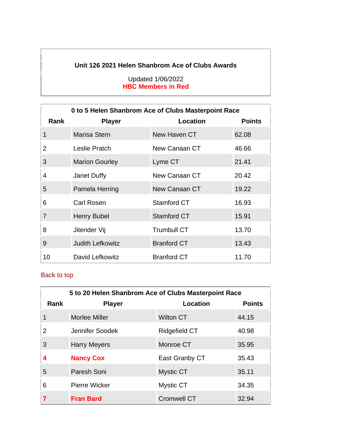#### **Unit 126 2021 Helen Shanbrom Ace of Clubs Awards**

#### Updated 1/06/2022 **HBC Members in Red**

|                | 0 to 5 Helen Shanbrom Ace of Clubs Masterpoint Race |                    |               |  |
|----------------|-----------------------------------------------------|--------------------|---------------|--|
| Rank           | <b>Player</b>                                       | Location           | <b>Points</b> |  |
| 1              | Marisa Stern                                        | New Haven CT       | 62.08         |  |
| 2              | Leslie Pratch                                       | New Canaan CT      | 46.66         |  |
| 3              | <b>Marion Gourley</b>                               | Lyme CT            | 21.41         |  |
| 4              | Janet Duffy                                         | New Canaan CT      | 20.42         |  |
| 5              | Pamela Herring                                      | New Canaan CT      | 19.22         |  |
| 6              | Carl Rosen                                          | Stamford CT        | 16.93         |  |
| $\overline{7}$ | <b>Henry Bubel</b>                                  | <b>Stamford CT</b> | 15.91         |  |
| 8              | Jitender Vij                                        | <b>Trumbull CT</b> | 13.70         |  |
| 9              | <b>Judith Lefkowitz</b>                             | <b>Branford CT</b> | 13.43         |  |
| 10             | David Lefkowitz                                     | <b>Branford CT</b> | 11.70         |  |

| 5 to 20 Helen Shanbrom Ace of Clubs Masterpoint Race |                      |                      |               |
|------------------------------------------------------|----------------------|----------------------|---------------|
| Rank                                                 | <b>Player</b>        | Location             | <b>Points</b> |
| 1                                                    | Morlee Miller        | <b>Wilton CT</b>     | 44.15         |
| $\overline{2}$                                       | Jennifer Soodek      | <b>Ridgefield CT</b> | 40.98         |
| 3                                                    | <b>Harry Meyers</b>  | Monroe CT            | 35.95         |
| 4                                                    | <b>Nancy Cox</b>     | East Granby CT       | 35.43         |
| 5                                                    | Paresh Soni          | <b>Mystic CT</b>     | 35.11         |
| 6                                                    | <b>Pierre Wicker</b> | <b>Mystic CT</b>     | 34.35         |
| 7                                                    | <b>Fran Bard</b>     | <b>Cromwell CT</b>   | 32.94         |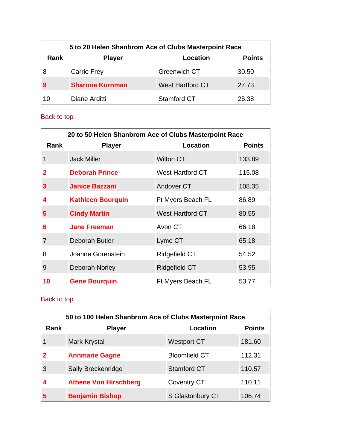|      | 5 to 20 Helen Shanbrom Ace of Clubs Masterpoint Race |                         |       |  |
|------|------------------------------------------------------|-------------------------|-------|--|
| Rank | <b>Points</b><br><b>Location</b><br><b>Player</b>    |                         |       |  |
| 8    | <b>Carrie Frey</b>                                   | <b>Greenwich CT</b>     | 30.50 |  |
|      | <b>Sharone Kornman</b>                               | <b>West Hartford CT</b> | 27.73 |  |
| 10   | Diane Arditti                                        | Stamford CT             | 25.38 |  |

| 20 to 50 Helen Shanbrom Ace of Clubs Masterpoint Race |                          |                         |               |
|-------------------------------------------------------|--------------------------|-------------------------|---------------|
| <b>Rank</b>                                           | <b>Player</b>            | Location                | <b>Points</b> |
| 1                                                     | <b>Jack Miller</b>       | <b>Wilton CT</b>        | 133.89        |
| 2                                                     | <b>Deborah Prince</b>    | West Hartford CT        | 115.08        |
| 3                                                     | <b>Janice Bazzani</b>    | Andover CT              | 108.35        |
| 4                                                     | <b>Kathleen Bourquin</b> | Ft Myers Beach FL       | 86.89         |
| 5                                                     | <b>Cindy Martin</b>      | <b>West Hartford CT</b> | 80.55         |
| 6                                                     | <b>Jane Freeman</b>      | Avon CT                 | 66.18         |
| 7                                                     | Deborah Butler           | Lyme CT                 | 65.18         |
| 8                                                     | Joanne Gorenstein        | Ridgefield CT           | 54.52         |
| 9                                                     | <b>Deborah Norley</b>    | Ridgefield CT           | 53.95         |
| 10                                                    | <b>Gene Bourquin</b>     | Ft Myers Beach FL       | 53.77         |

| 50 to 100 Helen Shanbrom Ace of Clubs Masterpoint Race |                              |                      |               |
|--------------------------------------------------------|------------------------------|----------------------|---------------|
| Rank                                                   | <b>Player</b>                | Location             | <b>Points</b> |
|                                                        | Mark Krystal                 | <b>Westport CT</b>   | 181.60        |
| 2                                                      | <b>Annmarie Gagne</b>        | <b>Bloomfield CT</b> | 112.31        |
| 3                                                      | Sally Breckenridge           | <b>Stamford CT</b>   | 110.57        |
| 4                                                      | <b>Athene Von Hirschberg</b> | <b>Coventry CT</b>   | 110.11        |
| 5                                                      | <b>Benjamin Bishop</b>       | S Glastonbury CT     | 106.74        |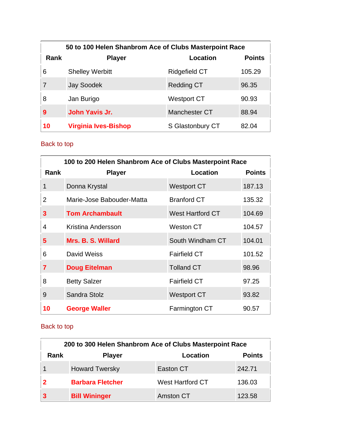|      | 50 to 100 Helen Shanbrom Ace of Clubs Masterpoint Race |                  |               |  |
|------|--------------------------------------------------------|------------------|---------------|--|
| Rank | <b>Player</b>                                          | Location         | <b>Points</b> |  |
| 6    | <b>Shelley Werbitt</b>                                 | Ridgefield CT    | 105.29        |  |
|      | <b>Jay Soodek</b>                                      | Redding CT       | 96.35         |  |
| 8    | Jan Burigo                                             | Westport CT      | 90.93         |  |
| 9    | John Yavis Jr.                                         | Manchester CT    | 88.94         |  |
| 10   | <b>Virginia Ives-Bishop</b>                            | S Glastonbury CT | 82.04         |  |

|             | 100 to 200 Helen Shanbrom Ace of Clubs Masterpoint Race |                         |               |  |
|-------------|---------------------------------------------------------|-------------------------|---------------|--|
| <b>Rank</b> | <b>Player</b>                                           | Location                | <b>Points</b> |  |
| 1           | Donna Krystal                                           | <b>Westport CT</b>      | 187.13        |  |
| 2           | Marie-Jose Babouder-Matta                               | <b>Branford CT</b>      | 135.32        |  |
| 3           | <b>Tom Archambault</b>                                  | <b>West Hartford CT</b> | 104.69        |  |
| 4           | Kristina Andersson                                      | Weston CT               | 104.57        |  |
| 5           | Mrs. B. S. Willard                                      | South Windham CT        | 104.01        |  |
| 6           | David Weiss                                             | <b>Fairfield CT</b>     | 101.52        |  |
| 7           | <b>Doug Eitelman</b>                                    | <b>Tolland CT</b>       | 98.96         |  |
| 8           | <b>Betty Salzer</b>                                     | <b>Fairfield CT</b>     | 97.25         |  |
| 9           | Sandra Stolz                                            | <b>Westport CT</b>      | 93.82         |  |
| 10          | <b>George Waller</b>                                    | Farmington CT           | 90.57         |  |

| 200 to 300 Helen Shanbrom Ace of Clubs Masterpoint Race |                         |                         |        |  |  |
|---------------------------------------------------------|-------------------------|-------------------------|--------|--|--|
| <b>Points</b><br>Rank<br>Location<br><b>Player</b>      |                         |                         |        |  |  |
|                                                         | <b>Howard Twersky</b>   | Easton CT               | 242.71 |  |  |
|                                                         | <b>Barbara Fletcher</b> | <b>West Hartford CT</b> | 136.03 |  |  |
|                                                         | <b>Bill Wininger</b>    | Amston CT               | 123.58 |  |  |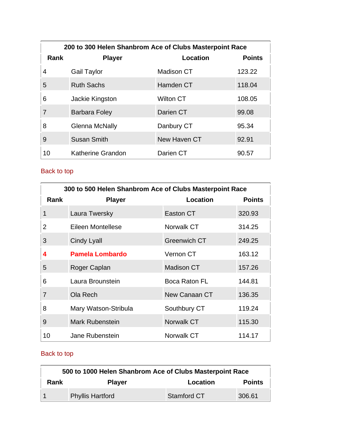|      | 200 to 300 Helen Shanbrom Ace of Clubs Masterpoint Race |                  |               |  |
|------|---------------------------------------------------------|------------------|---------------|--|
| Rank | <b>Player</b>                                           | Location         | <b>Points</b> |  |
| 4    | Gail Taylor                                             | Madison CT       | 123.22        |  |
| 5    | <b>Ruth Sachs</b>                                       | Hamden CT        | 118.04        |  |
| 6    | Jackie Kingston                                         | <b>Wilton CT</b> | 108.05        |  |
| 7    | Barbara Foley                                           | Darien CT        | 99.08         |  |
| 8    | Glenna McNally                                          | Danbury CT       | 95.34         |  |
| 9    | <b>Susan Smith</b>                                      | New Haven CT     | 92.91         |  |
| 10   | <b>Katherine Grandon</b>                                | Darien CT        | 90.57         |  |

| 300 to 500 Helen Shanbrom Ace of Clubs Masterpoint Race |                        |                     |               |
|---------------------------------------------------------|------------------------|---------------------|---------------|
| <b>Rank</b>                                             | <b>Player</b>          | Location            | <b>Points</b> |
| 1                                                       | Laura Twersky          | Easton CT           | 320.93        |
| 2                                                       | Eileen Montellese      | Norwalk CT          | 314.25        |
| 3                                                       | <b>Cindy Lyall</b>     | <b>Greenwich CT</b> | 249.25        |
| 4                                                       | <b>Pamela Lombardo</b> | Vernon CT           | 163.12        |
| 5                                                       | Roger Caplan           | <b>Madison CT</b>   | 157.26        |
| 6                                                       | Laura Brounstein       | Boca Raton FL       | 144.81        |
| 7                                                       | Ola Rech               | New Canaan CT       | 136.35        |
| 8                                                       | Mary Watson-Stribula   | Southbury CT        | 119.24        |
| 9                                                       | <b>Mark Rubenstein</b> | Norwalk CT          | 115.30        |
| 10                                                      | Jane Rubenstein        | Norwalk CT          | 114.17        |

| 500 to 1000 Helen Shanbrom Ace of Clubs Masterpoint Race |                         |                    |               |
|----------------------------------------------------------|-------------------------|--------------------|---------------|
| Rank                                                     | <b>Player</b>           | Location           | <b>Points</b> |
|                                                          | <b>Phyllis Hartford</b> | <b>Stamford CT</b> | 306.61        |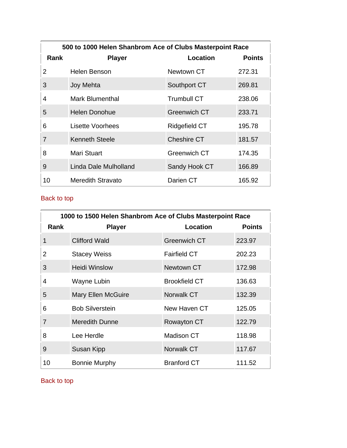|                | 500 to 1000 Helen Shanbrom Ace of Clubs Masterpoint Race |                     |               |  |
|----------------|----------------------------------------------------------|---------------------|---------------|--|
| Rank           | <b>Player</b>                                            | Location            | <b>Points</b> |  |
| 2              | Helen Benson                                             | Newtown CT          | 272.31        |  |
| 3              | Joy Mehta                                                | Southport CT        | 269.81        |  |
| 4              | Mark Blumenthal                                          | <b>Trumbull CT</b>  | 238.06        |  |
| 5              | <b>Helen Donohue</b>                                     | <b>Greenwich CT</b> | 233.71        |  |
| 6              | Lisette Voorhees                                         | Ridgefield CT       | 195.78        |  |
| $\overline{7}$ | <b>Kenneth Steele</b>                                    | <b>Cheshire CT</b>  | 181.57        |  |
| 8              | Mari Stuart                                              | Greenwich CT        | 174.35        |  |
| 9              | Linda Dale Mulholland                                    | Sandy Hook CT       | 166.89        |  |
| 10             | Meredith Stravato                                        | Darien CT           | 165.92        |  |

| 1000 to 1500 Helen Shanbrom Ace of Clubs Masterpoint Race |                           |                      |               |
|-----------------------------------------------------------|---------------------------|----------------------|---------------|
| <b>Rank</b>                                               | <b>Player</b>             | Location             | <b>Points</b> |
| $\mathbf 1$                                               | <b>Clifford Wald</b>      | <b>Greenwich CT</b>  | 223.97        |
| 2                                                         | <b>Stacey Weiss</b>       | <b>Fairfield CT</b>  | 202.23        |
| 3                                                         | <b>Heidi Winslow</b>      | Newtown CT           | 172.98        |
| 4                                                         | Wayne Lubin               | <b>Brookfield CT</b> | 136.63        |
| 5                                                         | <b>Mary Ellen McGuire</b> | Norwalk CT           | 132.39        |
| 6                                                         | <b>Bob Silverstein</b>    | New Haven CT         | 125.05        |
| $\overline{7}$                                            | <b>Meredith Dunne</b>     | Rowayton CT          | 122.79        |
| 8                                                         | Lee Herdle                | <b>Madison CT</b>    | 118.98        |
| 9                                                         | Susan Kipp                | Norwalk CT           | 117.67        |
| 10                                                        | <b>Bonnie Murphy</b>      | <b>Branford CT</b>   | 111.52        |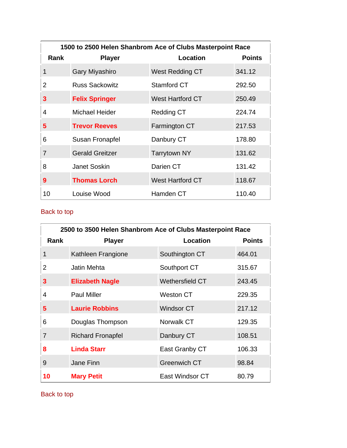| 1500 to 2500 Helen Shanbrom Ace of Clubs Masterpoint Race |                        |                         |               |
|-----------------------------------------------------------|------------------------|-------------------------|---------------|
| Rank                                                      | <b>Player</b>          | Location                | <b>Points</b> |
| 1                                                         | Gary Miyashiro         | West Redding CT         | 341.12        |
| 2                                                         | <b>Russ Sackowitz</b>  | Stamford CT             | 292.50        |
| 3                                                         | <b>Felix Springer</b>  | <b>West Hartford CT</b> | 250.49        |
| 4                                                         | Michael Heider         | <b>Redding CT</b>       | 224.74        |
| 5                                                         | <b>Trevor Reeves</b>   | Farmington CT           | 217.53        |
| 6                                                         | Susan Fronapfel        | Danbury CT              | 178.80        |
| $\overline{7}$                                            | <b>Gerald Greitzer</b> | <b>Tarrytown NY</b>     | 131.62        |
| 8                                                         | <b>Janet Soskin</b>    | Darien CT               | 131.42        |
| 9                                                         | <b>Thomas Lorch</b>    | <b>West Hartford CT</b> | 118.67        |
| 10                                                        | Louise Wood            | Hamden CT               | 110.40        |

| 2500 to 3500 Helen Shanbrom Ace of Clubs Masterpoint Race |                          |                        |               |
|-----------------------------------------------------------|--------------------------|------------------------|---------------|
| Rank                                                      | <b>Player</b>            | Location               | <b>Points</b> |
| 1                                                         | Kathleen Frangione       | Southington CT         | 464.01        |
| 2                                                         | Jatin Mehta              | Southport CT           | 315.67        |
| 3                                                         | <b>Elizabeth Nagle</b>   | <b>Wethersfield CT</b> | 243.45        |
| 4                                                         | <b>Paul Miller</b>       | <b>Weston CT</b>       | 229.35        |
| 5                                                         | <b>Laurie Robbins</b>    | <b>Windsor CT</b>      | 217.12        |
| 6                                                         | Douglas Thompson         | Norwalk CT             | 129.35        |
| $\overline{7}$                                            | <b>Richard Fronapfel</b> | Danbury CT             | 108.51        |
| 8                                                         | <b>Linda Starr</b>       | East Granby CT         | 106.33        |
| 9                                                         | Jane Finn                | <b>Greenwich CT</b>    | 98.84         |
| 10                                                        | <b>Mary Petit</b>        | East Windsor CT        | 80.79         |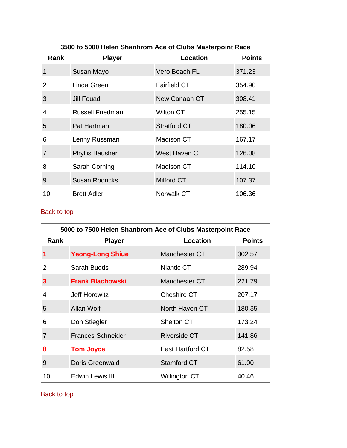| 3500 to 5000 Helen Shanbrom Ace of Clubs Masterpoint Race |                        |                     |               |
|-----------------------------------------------------------|------------------------|---------------------|---------------|
| Rank                                                      | <b>Player</b>          | Location            | <b>Points</b> |
| 1                                                         | Susan Mayo             | Vero Beach FL       | 371.23        |
| 2                                                         | Linda Green            | <b>Fairfield CT</b> | 354.90        |
| 3                                                         | Jill Fouad             | New Canaan CT       | 308.41        |
| 4                                                         | Russell Friedman       | Wilton CT           | 255.15        |
| 5                                                         | Pat Hartman            | <b>Stratford CT</b> | 180.06        |
| 6                                                         | Lenny Russman          | Madison CT          | 167.17        |
| $\overline{7}$                                            | <b>Phyllis Bausher</b> | West Haven CT       | 126.08        |
| 8                                                         | Sarah Corning          | <b>Madison CT</b>   | 114.10        |
| 9                                                         | <b>Susan Rodricks</b>  | Milford CT          | 107.37        |
| 10                                                        | <b>Brett Adler</b>     | Norwalk CT          | 106.36        |

| 5000 to 7500 Helen Shanbrom Ace of Clubs Masterpoint Race |                          |                     |               |
|-----------------------------------------------------------|--------------------------|---------------------|---------------|
| Rank                                                      | <b>Player</b>            | Location            | <b>Points</b> |
| 1                                                         | <b>Yeong-Long Shiue</b>  | Manchester CT       | 302.57        |
| 2                                                         | Sarah Budds              | Niantic CT          | 289.94        |
| 3                                                         | <b>Frank Blachowski</b>  | Manchester CT       | 221.79        |
| 4                                                         | Jeff Horowitz            | Cheshire CT         | 207.17        |
| 5                                                         | Allan Wolf               | North Haven CT      | 180.35        |
| 6                                                         | Don Stiegler             | <b>Shelton CT</b>   | 173.24        |
| 7                                                         | <b>Frances Schneider</b> | <b>Riverside CT</b> | 141.86        |
| 8                                                         | <b>Tom Joyce</b>         | East Hartford CT    | 82.58         |
| 9                                                         | <b>Doris Greenwald</b>   | Stamford CT         | 61.00         |
| 10                                                        | Edwin Lewis III          | Willington CT       | 40.46         |